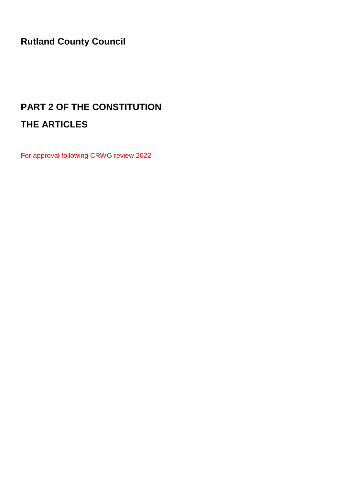**Rutland County Council**

# **PART 2 OF THE CONSTITUTION THE ARTICLES**

For approval following CRWG review 2022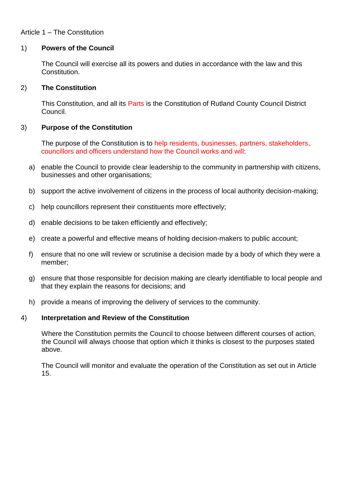# Article 1 – The Constitution

#### 1) **Powers of the Council**

The Council will exercise all its powers and duties in accordance with the law and this Constitution.

#### 2) **The Constitution**

This Constitution, and all its Parts is the Constitution of Rutland County Council District Council.

#### 3) **Purpose of the Constitution**

The purpose of the Constitution is to help residents, businesses, partners, stakeholders, councillors and officers understand how the Council works and will:

- a) enable the Council to provide clear leadership to the community in partnership with citizens, businesses and other organisations;
- b) support the active involvement of citizens in the process of local authority decision-making;
- c) help councillors represent their constituents more effectively;
- d) enable decisions to be taken efficiently and effectively;
- e) create a powerful and effective means of holding decision-makers to public account;
- f) ensure that no one will review or scrutinise a decision made by a body of which they were a member;
- g) ensure that those responsible for decision making are clearly identifiable to local people and that they explain the reasons for decisions; and
- h) provide a means of improving the delivery of services to the community.

#### 4) **Interpretation and Review of the Constitution**

Where the Constitution permits the Council to choose between different courses of action, the Council will always choose that option which it thinks is closest to the purposes stated above.

The Council will monitor and evaluate the operation of the Constitution as set out in Article 15.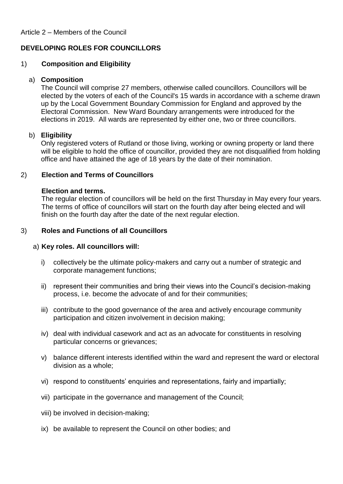# **DEVELOPING ROLES FOR COUNCILLORS**

# 1) **Composition and Eligibility**

## a) **Composition**

The Council will comprise 27 members, otherwise called councillors. Councillors will be elected by the voters of each of the Council's 15 wards in accordance with a scheme drawn up by the Local Government Boundary Commission for England and approved by the Electoral Commission. New Ward Boundary arrangements were introduced for the elections in 2019. All wards are represented by either one, two or three councillors.

## b) **Eligibility**

Only registered voters of Rutland or those living, working or owning property or land there will be eligible to hold the office of councillor, provided they are not disqualified from holding office and have attained the age of 18 years by the date of their nomination.

# 2) **Election and Terms of Councillors**

#### **Election and terms.**

The regular election of councillors will be held on the first Thursday in May every four years. The terms of office of councillors will start on the fourth day after being elected and will finish on the fourth day after the date of the next regular election.

#### 3) **Roles and Functions of all Councillors**

#### a) **Key roles. All councillors will:**

- i) collectively be the ultimate policy-makers and carry out a number of strategic and corporate management functions;
- ii) represent their communities and bring their views into the Council's decision-making process, i.e. become the advocate of and for their communities;
- iii) contribute to the good governance of the area and actively encourage community participation and citizen involvement in decision making;
- iv) deal with individual casework and act as an advocate for constituents in resolving particular concerns or grievances;
- v) balance different interests identified within the ward and represent the ward or electoral division as a whole;
- vi) respond to constituents' enquiries and representations, fairly and impartially;
- vii) participate in the governance and management of the Council;
- viii) be involved in decision-making;
- ix) be available to represent the Council on other bodies; and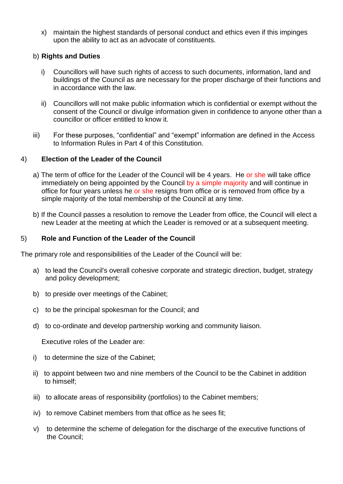x) maintain the highest standards of personal conduct and ethics even if this impinges upon the ability to act as an advocate of constituents.

# b) **Rights and Duties**

- i) Councillors will have such rights of access to such documents, information, land and buildings of the Council as are necessary for the proper discharge of their functions and in accordance with the law.
- ii) Councillors will not make public information which is confidential or exempt without the consent of the Council or divulge information given in confidence to anyone other than a councillor or officer entitled to know it.
- iii) For these purposes, "confidential" and "exempt" information are defined in the Access to Information Rules in Part 4 of this Constitution.

## 4) **Election of the Leader of the Council**

- a) The term of office for the Leader of the Council will be 4 years. He or she will take office immediately on being appointed by the Council by a simple majority and will continue in office for four years unless he or she resigns from office or is removed from office by a simple majority of the total membership of the Council at any time.
- b) If the Council passes a resolution to remove the Leader from office, the Council will elect a new Leader at the meeting at which the Leader is removed or at a subsequent meeting.

## 5) **Role and Function of the Leader of the Council**

The primary role and responsibilities of the Leader of the Council will be:

- a) to lead the Council's overall cohesive corporate and strategic direction, budget, strategy and policy development;
- b) to preside over meetings of the Cabinet;
- c) to be the principal spokesman for the Council; and
- d) to co-ordinate and develop partnership working and community liaison.

Executive roles of the Leader are:

- i) to determine the size of the Cabinet;
- ii) to appoint between two and nine members of the Council to be the Cabinet in addition to himself;
- iii) to allocate areas of responsibility (portfolios) to the Cabinet members;
- iv) to remove Cabinet members from that office as he sees fit;
- v) to determine the scheme of delegation for the discharge of the executive functions of the Council;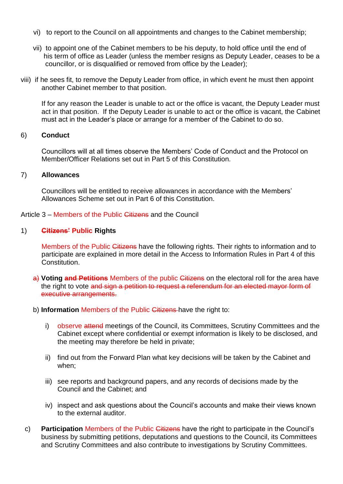- vi) to report to the Council on all appointments and changes to the Cabinet membership;
- vii) to appoint one of the Cabinet members to be his deputy, to hold office until the end of his term of office as Leader (unless the member resigns as Deputy Leader, ceases to be a councillor, or is disqualified or removed from office by the Leader);
- viii) if he sees fit, to remove the Deputy Leader from office, in which event he must then appoint another Cabinet member to that position.

If for any reason the Leader is unable to act or the office is vacant, the Deputy Leader must act in that position. If the Deputy Leader is unable to act or the office is vacant, the Cabinet must act in the Leader's place or arrange for a member of the Cabinet to do so.

## 6) **Conduct**

Councillors will at all times observe the Members' Code of Conduct and the Protocol on Member/Officer Relations set out in Part 5 of this Constitution.

#### 7) **Allowances**

Councillors will be entitled to receive allowances in accordance with the Members' Allowances Scheme set out in Part 6 of this Constitution.

Article 3 – Members of the Public Citizens and the Council

#### 1) **Citizens' Public Rights**

Members of the Public Citizens have the following rights. Their rights to information and to participate are explained in more detail in the Access to Information Rules in Part 4 of this **Constitution** 

- a) Voting and Petitions Members of the public Citizens on the electoral roll for the area have the right to vote and sign a petition to request a referendum for an elected mayor form of executive arrangements.
- b) **Information** Members of the Public Citizens have the right to:
	- i) observe attend meetings of the Council, its Committees, Scrutiny Committees and the Cabinet except where confidential or exempt information is likely to be disclosed, and the meeting may therefore be held in private;
	- ii) find out from the Forward Plan what key decisions will be taken by the Cabinet and when;
	- iii) see reports and background papers, and any records of decisions made by the Council and the Cabinet; and
	- iv) inspect and ask questions about the Council's accounts and make their views known to the external auditor.
- c) **Participation** Members of the Public Citizens have the right to participate in the Council's business by submitting petitions, deputations and questions to the Council, its Committees and Scrutiny Committees and also contribute to investigations by Scrutiny Committees.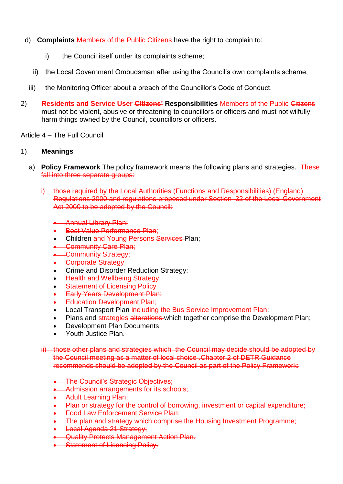- d) **Complaints** Members of the Public Citizens have the right to complain to:
	- i) the Council itself under its complaints scheme;
	- ii) the Local Government Ombudsman after using the Council's own complaints scheme;
	- iii) the Monitoring Officer about a breach of the Councillor's Code of Conduct.
- 2) **Residents and Service User Citizens' Responsibilities** Members of the Public Citizens must not be violent, abusive or threatening to councillors or officers and must not wilfully harm things owned by the Council, councillors or officers.

## Article 4 – The Full Council

## 1) **Meanings**

- a) **Policy Framework** The policy framework means the following plans and strategies. These fall into three separate groups:
	- i) those required by the Local Authorities (Functions and Responsibilities) (England) Regulations 2000 and regulations proposed under Section 32 of the Local Government Act 2000 to be adopted by the Council:
		- **Annual Library Plan;**
		- **Best Value Performance Plan:**
		- Children and Young Persons Services-Plan:
		- Community Care Plan;
		- Community Strategy;
		- Corporate Strategy
		- Crime and Disorder Reduction Strategy;
		- **Health and Wellbeing Strategy**
		- Statement of Licensing Policy
		- **Early Years Development Plan;**
		- **Education Development Plan:**
		- Local Transport Plan including the Bus Service Improvement Plan;
		- Plans and strategies alterations which together comprise the Development Plan;
		- Development Plan Documents
		- Youth Justice Plan.
	- ii) those other plans and strategies which the Council may decide should be adopted by the Council meeting as a matter of local choice .Chapter 2 of DETR Guidance recommends should be adopted by the Council as part of the Policy Framework:
		- **•** The Council's Strategic Objectives:
		- **Admission arrangements for its schools;**
		- Adult Learning Plan;
		- **•** Plan or strategy for the control of borrowing, investment or capital expenditure;
		- Food Law Enforcement Service Plan:
		- The plan and strategy which comprise the Housing Investment Programme:
		- **Local Agenda 21 Strategy;**
		- **Quality Protects Management Action Plan.**
		- Statement of Licensing Policy.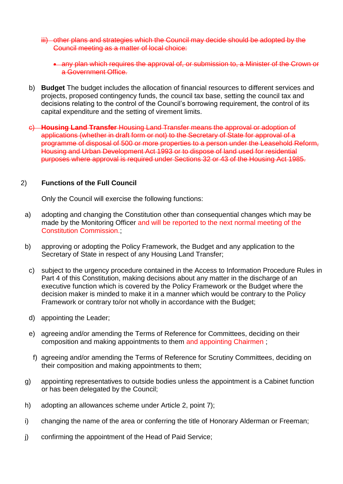- iii) other plans and strategies which the Council may decide should be adopted by the Council meeting as a matter of local choice:
	- any plan which requires the approval of, or submission to, a Minister of the Crown or a Government Office.
- b) **Budget** The budget includes the allocation of financial resources to different services and projects, proposed contingency funds, the council tax base, setting the council tax and decisions relating to the control of the Council's borrowing requirement, the control of its capital expenditure and the setting of virement limits.
- c) **Housing Land Transfer** Housing Land Transfer means the approval or adoption of applications (whether in draft form or not) to the Secretary of State for approval of a programme of disposal of 500 or more properties to a person under the Leasehold Reform, Housing and Urban Development Act 1993 or to dispose of land used for residential purposes where approval is required under Sections 32 or 43 of the Housing Act 1985.

#### 2) **Functions of the Full Council**

Only the Council will exercise the following functions:

- a) adopting and changing the Constitution other than consequential changes which may be made by the Monitoring Officer and will be reported to the next normal meeting of the Constitution Commission.;
- b) approving or adopting the Policy Framework, the Budget and any application to the Secretary of State in respect of any Housing Land Transfer;
- c) subject to the urgency procedure contained in the Access to Information Procedure Rules in Part 4 of this Constitution, making decisions about any matter in the discharge of an executive function which is covered by the Policy Framework or the Budget where the decision maker is minded to make it in a manner which would be contrary to the Policy Framework or contrary to/or not wholly in accordance with the Budget;
- d) appointing the Leader;
- e) agreeing and/or amending the Terms of Reference for Committees, deciding on their composition and making appointments to them and appointing Chairmen ;
- f) agreeing and/or amending the Terms of Reference for Scrutiny Committees, deciding on their composition and making appointments to them;
- g) appointing representatives to outside bodies unless the appointment is a Cabinet function or has been delegated by the Council;
- h) adopting an allowances scheme under Article 2, point 7);
- i) changing the name of the area or conferring the title of Honorary Alderman or Freeman;
- j) confirming the appointment of the Head of Paid Service;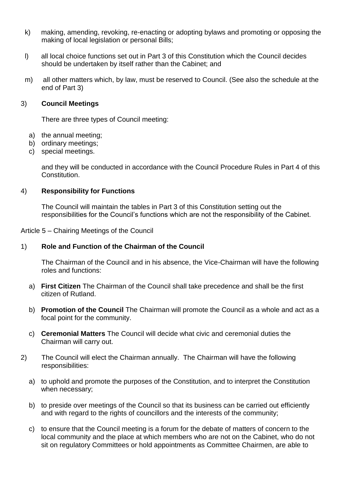- k) making, amending, revoking, re-enacting or adopting bylaws and promoting or opposing the making of local legislation or personal Bills;
- l) all local choice functions set out in Part 3 of this Constitution which the Council decides should be undertaken by itself rather than the Cabinet; and
- m) all other matters which, by law, must be reserved to Council. (See also the schedule at the end of Part 3)

#### 3) **Council Meetings**

There are three types of Council meeting:

- a) the annual meeting;
- b) ordinary meetings;
- c) special meetings.

and they will be conducted in accordance with the Council Procedure Rules in Part 4 of this Constitution.

#### 4) **Responsibility for Functions**

The Council will maintain the tables in Part 3 of this Constitution setting out the responsibilities for the Council's functions which are not the responsibility of the Cabinet.

Article 5 – Chairing Meetings of the Council

#### 1) **Role and Function of the Chairman of the Council**

The Chairman of the Council and in his absence, the Vice-Chairman will have the following roles and functions:

- a) **First Citizen** The Chairman of the Council shall take precedence and shall be the first citizen of Rutland.
- b) **Promotion of the Council** The Chairman will promote the Council as a whole and act as a focal point for the community.
- c) **Ceremonial Matters** The Council will decide what civic and ceremonial duties the Chairman will carry out.
- 2) The Council will elect the Chairman annually. The Chairman will have the following responsibilities:
	- a) to uphold and promote the purposes of the Constitution, and to interpret the Constitution when necessary;
	- b) to preside over meetings of the Council so that its business can be carried out efficiently and with regard to the rights of councillors and the interests of the community;
	- c) to ensure that the Council meeting is a forum for the debate of matters of concern to the local community and the place at which members who are not on the Cabinet, who do not sit on regulatory Committees or hold appointments as Committee Chairmen, are able to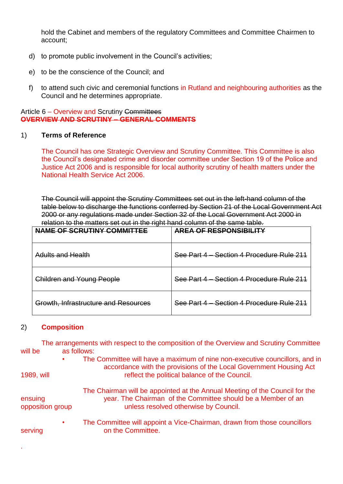hold the Cabinet and members of the regulatory Committees and Committee Chairmen to account;

- d) to promote public involvement in the Council's activities;
- e) to be the conscience of the Council; and
- f) to attend such civic and ceremonial functions in Rutland and neighbouring authorities as the Council and he determines appropriate.

#### Article 6 – Overview and Scrutiny Committees **OVERVIEW AND SCRUTINY – GENERAL COMMENTS**

## 1) **Terms of Reference**

The Council has one Strategic Overview and Scrutiny Committee. This Committee is also the Council's designated crime and disorder committee under Section 19 of the Police and Justice Act 2006 and is responsible for local authority scrutiny of health matters under the National Health Service Act 2006.

The Council will appoint the Scrutiny Committees set out in the left-hand column of the table below to discharge the functions conferred by Section 21 of the Local Government Act 2000 or any regulations made under Section 32 of the Local Government Act 2000 in relation to the matters set out in the right hand column of the same table.

| NAME OF SCRUTINY COMMITTEE           | AREA OF RESPONSIBILITY                    |
|--------------------------------------|-------------------------------------------|
| Adults and Health                    | See Part 4 – Section 4 Procedure Rule 211 |
| <b>Children and Young People</b>     | See Part 4 - Section 4 Procedure Rule 211 |
| Growth, Infrastructure and Resources | See Part 4 – Section 4 Procedure Rule 211 |

#### 2) **Composition**

.

The arrangements with respect to the composition of the Overview and Scrutiny Committee will be as follows:

- The Committee will have a maximum of nine non-executive councillors, and in accordance with the provisions of the Local Government Housing Act 1989, will reflect the political balance of the Council. The Chairman will be appointed at the Annual Meeting of the Council for the ensuing year. The Chairman of the Committee should be a Member of an opposition group unless resolved otherwise by Council.
- The Committee will appoint a Vice-Chairman, drawn from those councillors serving on the Committee.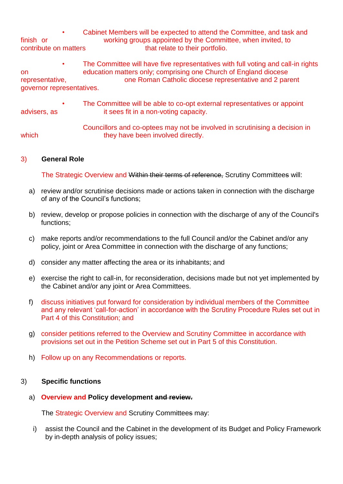• Cabinet Members will be expected to attend the Committee, and task and finish or working groups appointed by the Committee, when invited, to contribute on matters that relate to their portfolio.

• The Committee will have five representatives with full voting and call-in rights on education matters only; comprising one Church of England diocese representative, one Roman Catholic diocese representative and 2 parent governor representatives.

• The Committee will be able to co-opt external representatives or appoint advisers, as it sees fit in a non-voting capacity.

Councillors and co-optees may not be involved in scrutinising a decision in which they have been involved directly.

## 3) **General Role**

The Strategic Overview and Within their terms of reference, Scrutiny Committees will:

- a) review and/or scrutinise decisions made or actions taken in connection with the discharge of any of the Council's functions;
- b) review, develop or propose policies in connection with the discharge of any of the Council's functions;
- c) make reports and/or recommendations to the full Council and/or the Cabinet and/or any policy, joint or Area Committee in connection with the discharge of any functions;
- d) consider any matter affecting the area or its inhabitants; and
- e) exercise the right to call-in, for reconsideration, decisions made but not yet implemented by the Cabinet and/or any joint or Area Committees.
- f) discuss initiatives put forward for consideration by individual members of the Committee and any relevant 'call-for-action' in accordance with the Scrutiny Procedure Rules set out in Part 4 of this Constitution; and
- g) consider petitions referred to the Overview and Scrutiny Committee in accordance with provisions set out in the Petition Scheme set out in Part 5 of this Constitution.
- h) Follow up on any Recommendations or reports.

#### 3) **Specific functions**

#### a) **Overview and Policy development and review.**

The Strategic Overview and Scrutiny Committees may:

i) assist the Council and the Cabinet in the development of its Budget and Policy Framework by in-depth analysis of policy issues;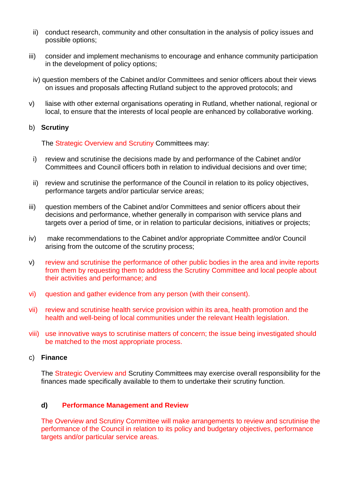- ii) conduct research, community and other consultation in the analysis of policy issues and possible options;
- iii) consider and implement mechanisms to encourage and enhance community participation in the development of policy options;
- iv) question members of the Cabinet and/or Committees and senior officers about their views on issues and proposals affecting Rutland subject to the approved protocols; and
- v) liaise with other external organisations operating in Rutland, whether national, regional or local, to ensure that the interests of local people are enhanced by collaborative working.

#### b) **Scrutiny**

The Strategic Overview and Scrutiny Committees may:

- i) review and scrutinise the decisions made by and performance of the Cabinet and/or Committees and Council officers both in relation to individual decisions and over time;
- ii) review and scrutinise the performance of the Council in relation to its policy objectives, performance targets and/or particular service areas;
- iii) question members of the Cabinet and/or Committees and senior officers about their decisions and performance, whether generally in comparison with service plans and targets over a period of time, or in relation to particular decisions, initiatives or projects;
- iv) make recommendations to the Cabinet and/or appropriate Committee and/or Council arising from the outcome of the scrutiny process;
- v) review and scrutinise the performance of other public bodies in the area and invite reports from them by requesting them to address the Scrutiny Committee and local people about their activities and performance; and
- vi) question and gather evidence from any person (with their consent).
- vii) review and scrutinise health service provision within its area, health promotion and the health and well-being of local communities under the relevant Health legislation.
- viii) use innovative ways to scrutinise matters of concern; the issue being investigated should be matched to the most appropriate process.

## c) **Finance**

The Strategic Overview and Scrutiny Committees may exercise overall responsibility for the finances made specifically available to them to undertake their scrutiny function.

#### **d) Performance Management and Review**

The Overview and Scrutiny Committee will make arrangements to review and scrutinise the performance of the Council in relation to its policy and budgetary objectives, performance targets and/or particular service areas.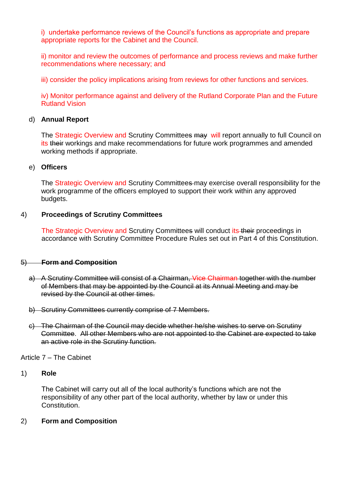i) undertake performance reviews of the Council's functions as appropriate and prepare appropriate reports for the Cabinet and the Council.

ii) monitor and review the outcomes of performance and process reviews and make further recommendations where necessary; and

iii) consider the policy implications arising from reviews for other functions and services.

iv) Monitor performance against and delivery of the Rutland Corporate Plan and the Future Rutland Vision

#### d) **Annual Report**

The Strategic Overview and Scrutiny Committees may will report annually to full Council on its their workings and make recommendations for future work programmes and amended working methods if appropriate.

#### e) **Officers**

The Strategic Overview and Scrutiny Committees may exercise overall responsibility for the work programme of the officers employed to support their work within any approved budgets.

#### 4) **Proceedings of Scrutiny Committees**

The Strategic Overview and Scrutiny Committees will conduct its their proceedings in accordance with Scrutiny Committee Procedure Rules set out in Part 4 of this Constitution.

#### 5) **Form and Composition**

- a) A Scrutiny Committee will consist of a Chairman, Vice Chairman together with the number of Members that may be appointed by the Council at its Annual Meeting and may be revised by the Council at other times.
- b) Scrutiny Committees currently comprise of 7 Members.
- c) The Chairman of the Council may decide whether he/she wishes to serve on Scrutiny Committee. All other Members who are not appointed to the Cabinet are expected to take an active role in the Scrutiny function.

Article 7 – The Cabinet

#### 1) **Role**

The Cabinet will carry out all of the local authority's functions which are not the responsibility of any other part of the local authority, whether by law or under this Constitution.

#### 2) **Form and Composition**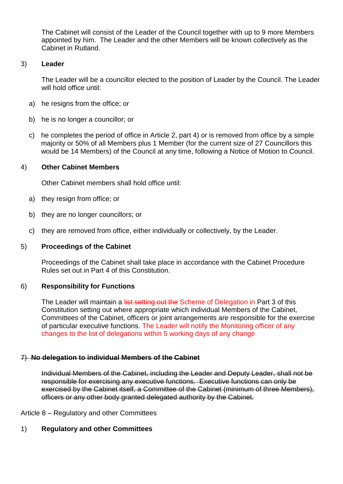The Cabinet will consist of the Leader of the Council together with up to 9 more Members appointed by him. The Leader and the other Members will be known collectively as the Cabinet in Rutland.

## 3) **Leader**

The Leader will be a councillor elected to the position of Leader by the Council. The Leader will hold office until:

- a) he resigns from the office; or
- b) he is no longer a councillor; or
- c) he completes the period of office in Article 2, part 4) or is removed from office by a simple majority or 50% of all Members plus 1 Member (for the current size of 27 Councillors this would be 14 Members) of the Council at any time, following a Notice of Motion to Council.

## 4) **Other Cabinet Members**

Other Cabinet members shall hold office until:

- a) they resign from office; or
- b) they are no longer councillors; or
- c) they are removed from office, either individually or collectively, by the Leader.

#### 5) **Proceedings of the Cabinet**

Proceedings of the Cabinet shall take place in accordance with the Cabinet Procedure Rules set out in Part 4 of this Constitution.

#### 6) **Responsibility for Functions**

The Leader will maintain a list setting out the Scheme of Delegation in Part 3 of this Constitution setting out where appropriate which individual Members of the Cabinet, Committees of the Cabinet, officers or joint arrangements are responsible for the exercise of particular executive functions. The Leader will notify the Monitoring officer of any changes to the list of delegations within 5 working days of any change

#### 7) **No delegation to individual Members of the Cabinet**

Individual Members of the Cabinet, including the Leader and Deputy Leader, shall not be responsible for exercising any executive functions. Executive functions can only be exercised by the Cabinet itself, a Committee of the Cabinet (minimum of three Members), officers or any other body granted delegated authority by the Cabinet.

Article 8 – Regulatory and other Committees

# 1) **Regulatory and other Committees**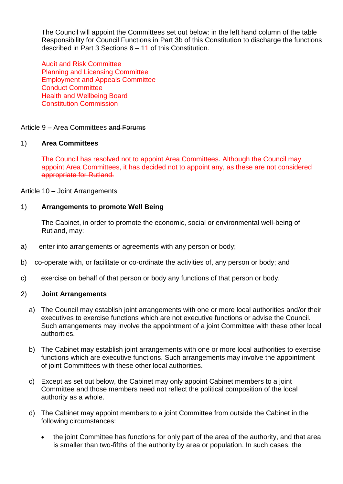The Council will appoint the Committees set out below: in the left hand column of the table Responsibility for Council Functions in Part 3b of this Constitution to discharge the functions described in Part 3 Sections 6 – 11 of this Constitution.

Audit and Risk Committee Planning and Licensing Committee Employment and Appeals Committee Conduct Committee Health and Wellbeing Board Constitution Commission

Article 9 – Area Committees and Forums

#### 1) **Area Committees**

The Council has resolved not to appoint Area Committees. Although the Council may appoint Area Committees, it has decided not to appoint any, as these are not considered appropriate for Rutland.

Article 10 – Joint Arrangements

#### 1) **Arrangements to promote Well Being**

The Cabinet, in order to promote the economic, social or environmental well-being of Rutland, may:

- a) enter into arrangements or agreements with any person or body;
- b) co-operate with, or facilitate or co-ordinate the activities of, any person or body; and
- c) exercise on behalf of that person or body any functions of that person or body.

#### 2) **Joint Arrangements**

- a) The Council may establish joint arrangements with one or more local authorities and/or their executives to exercise functions which are not executive functions or advise the Council. Such arrangements may involve the appointment of a joint Committee with these other local authorities.
- b) The Cabinet may establish joint arrangements with one or more local authorities to exercise functions which are executive functions. Such arrangements may involve the appointment of joint Committees with these other local authorities.
- c) Except as set out below, the Cabinet may only appoint Cabinet members to a joint Committee and those members need not reflect the political composition of the local authority as a whole.
- d) The Cabinet may appoint members to a joint Committee from outside the Cabinet in the following circumstances:
	- the joint Committee has functions for only part of the area of the authority, and that area is smaller than two-fifths of the authority by area or population. In such cases, the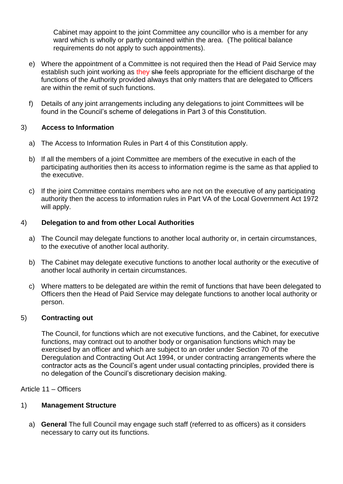Cabinet may appoint to the joint Committee any councillor who is a member for any ward which is wholly or partly contained within the area. (The political balance requirements do not apply to such appointments).

- e) Where the appointment of a Committee is not required then the Head of Paid Service may establish such joint working as they she feels appropriate for the efficient discharge of the functions of the Authority provided always that only matters that are delegated to Officers are within the remit of such functions.
- f) Details of any joint arrangements including any delegations to joint Committees will be found in the Council's scheme of delegations in Part 3 of this Constitution.

## 3) **Access to Information**

- a) The Access to Information Rules in Part 4 of this Constitution apply.
- b) If all the members of a joint Committee are members of the executive in each of the participating authorities then its access to information regime is the same as that applied to the executive.
- c) If the joint Committee contains members who are not on the executive of any participating authority then the access to information rules in Part VA of the Local Government Act 1972 will apply.

## 4) **Delegation to and from other Local Authorities**

- a) The Council may delegate functions to another local authority or, in certain circumstances, to the executive of another local authority.
- b) The Cabinet may delegate executive functions to another local authority or the executive of another local authority in certain circumstances.
- c) Where matters to be delegated are within the remit of functions that have been delegated to Officers then the Head of Paid Service may delegate functions to another local authority or person.

#### 5) **Contracting out**

The Council, for functions which are not executive functions, and the Cabinet, for executive functions, may contract out to another body or organisation functions which may be exercised by an officer and which are subject to an order under Section 70 of the Deregulation and Contracting Out Act 1994, or under contracting arrangements where the contractor acts as the Council's agent under usual contacting principles, provided there is no delegation of the Council's discretionary decision making.

Article 11 – Officers

#### 1) **Management Structure**

a) **General** The full Council may engage such staff (referred to as officers) as it considers necessary to carry out its functions.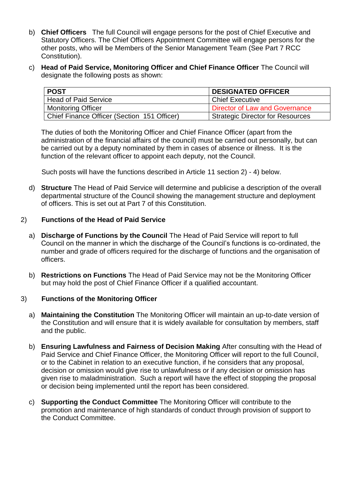- b) **Chief Officers** The full Council will engage persons for the post of Chief Executive and Statutory Officers. The Chief Officers Appointment Committee will engage persons for the other posts, who will be Members of the Senior Management Team (See Part 7 RCC Constitution).
- c) **Head of Paid Service, Monitoring Officer and Chief Finance Officer** The Council will designate the following posts as shown:

| <b>POST</b>                                 | <b>DESIGNATED OFFICER</b>        |
|---------------------------------------------|----------------------------------|
| <b>Head of Paid Service</b>                 | l Chief Executive                |
| <b>Monitoring Officer</b>                   | Director of Law and Governance   |
| Chief Finance Officer (Section 151 Officer) | Strategic Director for Resources |

The duties of both the Monitoring Officer and Chief Finance Officer (apart from the administration of the financial affairs of the council) must be carried out personally, but can be carried out by a deputy nominated by them in cases of absence or illness. It is the function of the relevant officer to appoint each deputy, not the Council.

Such posts will have the functions described in Article 11 section 2) - 4) below.

d) **Structure** The Head of Paid Service will determine and publicise a description of the overall departmental structure of the Council showing the management structure and deployment of officers. This is set out at Part 7 of this Constitution.

## 2) **Functions of the Head of Paid Service**

- a) **Discharge of Functions by the Council** The Head of Paid Service will report to full Council on the manner in which the discharge of the Council's functions is co-ordinated, the number and grade of officers required for the discharge of functions and the organisation of officers.
- b) **Restrictions on Functions** The Head of Paid Service may not be the Monitoring Officer but may hold the post of Chief Finance Officer if a qualified accountant.

#### 3) **Functions of the Monitoring Officer**

- a) **Maintaining the Constitution** The Monitoring Officer will maintain an up-to-date version of the Constitution and will ensure that it is widely available for consultation by members, staff and the public.
- b) **Ensuring Lawfulness and Fairness of Decision Making** After consulting with the Head of Paid Service and Chief Finance Officer, the Monitoring Officer will report to the full Council, or to the Cabinet in relation to an executive function, if he considers that any proposal, decision or omission would give rise to unlawfulness or if any decision or omission has given rise to maladministration. Such a report will have the effect of stopping the proposal or decision being implemented until the report has been considered.
- c) **Supporting the Conduct Committee** The Monitoring Officer will contribute to the promotion and maintenance of high standards of conduct through provision of support to the Conduct Committee.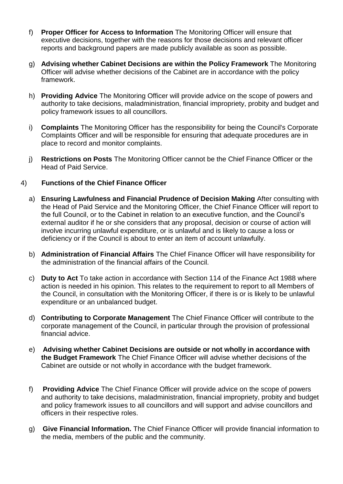- f) **Proper Officer for Access to Information** The Monitoring Officer will ensure that executive decisions, together with the reasons for those decisions and relevant officer reports and background papers are made publicly available as soon as possible.
- g) **Advising whether Cabinet Decisions are within the Policy Framework** The Monitoring Officer will advise whether decisions of the Cabinet are in accordance with the policy framework.
- h) **Providing Advice** The Monitoring Officer will provide advice on the scope of powers and authority to take decisions, maladministration, financial impropriety, probity and budget and policy framework issues to all councillors.
- i) **Complaints** The Monitoring Officer has the responsibility for being the Council's Corporate Complaints Officer and will be responsible for ensuring that adequate procedures are in place to record and monitor complaints.
- j) **Restrictions on Posts** The Monitoring Officer cannot be the Chief Finance Officer or the Head of Paid Service.

## 4) **Functions of the Chief Finance Officer**

- a) **Ensuring Lawfulness and Financial Prudence of Decision Making** After consulting with the Head of Paid Service and the Monitoring Officer, the Chief Finance Officer will report to the full Council, or to the Cabinet in relation to an executive function, and the Council's external auditor if he or she considers that any proposal, decision or course of action will involve incurring unlawful expenditure, or is unlawful and is likely to cause a loss or deficiency or if the Council is about to enter an item of account unlawfully.
- b) **Administration of Financial Affairs** The Chief Finance Officer will have responsibility for the administration of the financial affairs of the Council.
- c) **Duty to Act** To take action in accordance with Section 114 of the Finance Act 1988 where action is needed in his opinion. This relates to the requirement to report to all Members of the Council, in consultation with the Monitoring Officer, if there is or is likely to be unlawful expenditure or an unbalanced budget.
- d) **Contributing to Corporate Management** The Chief Finance Officer will contribute to the corporate management of the Council, in particular through the provision of professional financial advice.
- e) **Advising whether Cabinet Decisions are outside or not wholly in accordance with the Budget Framework** The Chief Finance Officer will advise whether decisions of the Cabinet are outside or not wholly in accordance with the budget framework.
- f) **Providing Advice** The Chief Finance Officer will provide advice on the scope of powers and authority to take decisions, maladministration, financial impropriety, probity and budget and policy framework issues to all councillors and will support and advise councillors and officers in their respective roles.
- g) **Give Financial Information.** The Chief Finance Officer will provide financial information to the media, members of the public and the community.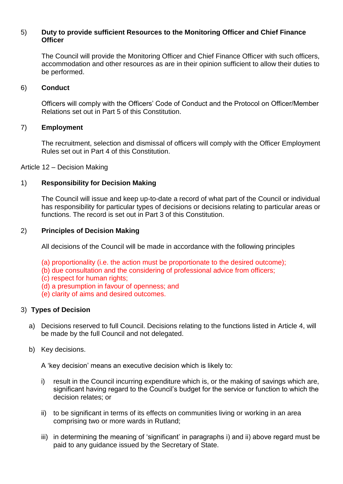# 5) **Duty to provide sufficient Resources to the Monitoring Officer and Chief Finance Officer**

The Council will provide the Monitoring Officer and Chief Finance Officer with such officers, accommodation and other resources as are in their opinion sufficient to allow their duties to be performed.

#### 6) **Conduct**

Officers will comply with the Officers' Code of Conduct and the Protocol on Officer/Member Relations set out in Part 5 of this Constitution.

## 7) **Employment**

The recruitment, selection and dismissal of officers will comply with the Officer Employment Rules set out in Part 4 of this Constitution.

Article 12 – Decision Making

#### 1) **Responsibility for Decision Making**

The Council will issue and keep up-to-date a record of what part of the Council or individual has responsibility for particular types of decisions or decisions relating to particular areas or functions. The record is set out in Part 3 of this Constitution.

#### 2) **Principles of Decision Making**

All decisions of the Council will be made in accordance with the following principles

- (a) proportionality (i.e. the action must be proportionate to the desired outcome);
- (b) due consultation and the considering of professional advice from officers;
- (c) respect for human rights;
- (d) a presumption in favour of openness; and
- (e) clarity of aims and desired outcomes.

#### 3) **Types of Decision**

- a) Decisions reserved to full Council. Decisions relating to the functions listed in Article 4, will be made by the full Council and not delegated.
- b) Key decisions.

A 'key decision' means an executive decision which is likely to:

- i) result in the Council incurring expenditure which is, or the making of savings which are, significant having regard to the Council's budget for the service or function to which the decision relates; or
- ii) to be significant in terms of its effects on communities living or working in an area comprising two or more wards in Rutland;
- iii) in determining the meaning of 'significant' in paragraphs i) and ii) above regard must be paid to any guidance issued by the Secretary of State.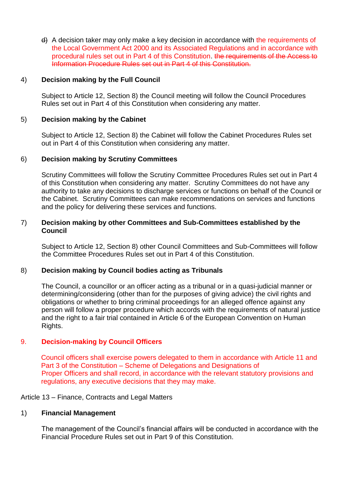d) A decision taker may only make a key decision in accordance with the requirements of the Local Government Act 2000 and its Associated Regulations and in accordance with procedural rules set out in Part 4 of this Constitution. the requirements of the Access to Information Procedure Rules set out in Part 4 of this Constitution.

## 4) **Decision making by the Full Council**

Subject to Article 12, Section 8) the Council meeting will follow the Council Procedures Rules set out in Part 4 of this Constitution when considering any matter.

## 5) **Decision making by the Cabinet**

Subject to Article 12, Section 8) the Cabinet will follow the Cabinet Procedures Rules set out in Part 4 of this Constitution when considering any matter.

#### 6) **Decision making by Scrutiny Committees**

Scrutiny Committees will follow the Scrutiny Committee Procedures Rules set out in Part 4 of this Constitution when considering any matter. Scrutiny Committees do not have any authority to take any decisions to discharge services or functions on behalf of the Council or the Cabinet. Scrutiny Committees can make recommendations on services and functions and the policy for delivering these services and functions.

#### 7) **Decision making by other Committees and Sub-Committees established by the Council**

Subject to Article 12, Section 8) other Council Committees and Sub-Committees will follow the Committee Procedures Rules set out in Part 4 of this Constitution.

#### 8) **Decision making by Council bodies acting as Tribunals**

The Council, a councillor or an officer acting as a tribunal or in a quasi-judicial manner or determining/considering (other than for the purposes of giving advice) the civil rights and obligations or whether to bring criminal proceedings for an alleged offence against any person will follow a proper procedure which accords with the requirements of natural justice and the right to a fair trial contained in Article 6 of the European Convention on Human Rights.

# 9. **Decision-making by Council Officers**

Council officers shall exercise powers delegated to them in accordance with Article 11 and Part 3 of the Constitution – Scheme of Delegations and Designations of Proper Officers and shall record, in accordance with the relevant statutory provisions and regulations, any executive decisions that they may make.

Article 13 – Finance, Contracts and Legal Matters

#### 1) **Financial Management**

The management of the Council's financial affairs will be conducted in accordance with the Financial Procedure Rules set out in Part 9 of this Constitution.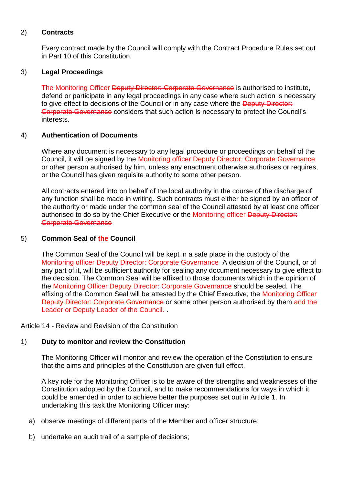## 2) **Contracts**

Every contract made by the Council will comply with the Contract Procedure Rules set out in Part 10 of this Constitution.

## 3) **Legal Proceedings**

The Monitoring Officer Deputy Director: Corporate Governance is authorised to institute, defend or participate in any legal proceedings in any case where such action is necessary to give effect to decisions of the Council or in any case where the Deputy Director: Corporate Governance considers that such action is necessary to protect the Council's interests.

## 4) **Authentication of Documents**

Where any document is necessary to any legal procedure or proceedings on behalf of the Council, it will be signed by the Monitoring officer Deputy Director: Corporate Governance or other person authorised by him, unless any enactment otherwise authorises or requires, or the Council has given requisite authority to some other person.

All contracts entered into on behalf of the local authority in the course of the discharge of any function shall be made in writing. Such contracts must either be signed by an officer of the authority or made under the common seal of the Council attested by at least one officer authorised to do so by the Chief Executive or the Monitoring officer Deputy Director: Corporate Governance

## 5) **Common Seal of the Council**

The Common Seal of the Council will be kept in a safe place in the custody of the Monitoring officer <del>Deputy Director: Corporate Governance</del> A decision of the Council, or of any part of it, will be sufficient authority for sealing any document necessary to give effect to the decision. The Common Seal will be affixed to those documents which in the opinion of the Monitoring Officer Deputy Director: Corporate Governance should be sealed. The affixing of the Common Seal will be attested by the Chief Executive, the Monitoring Officer Deputy Director: Corporate Governance or some other person authorised by them and the Leader or Deputy Leader of the Council. .

Article 14 - Review and Revision of the Constitution

#### 1) **Duty to monitor and review the Constitution**

The Monitoring Officer will monitor and review the operation of the Constitution to ensure that the aims and principles of the Constitution are given full effect.

A key role for the Monitoring Officer is to be aware of the strengths and weaknesses of the Constitution adopted by the Council, and to make recommendations for ways in which it could be amended in order to achieve better the purposes set out in Article 1. In undertaking this task the Monitoring Officer may:

- a) observe meetings of different parts of the Member and officer structure;
- b) undertake an audit trail of a sample of decisions;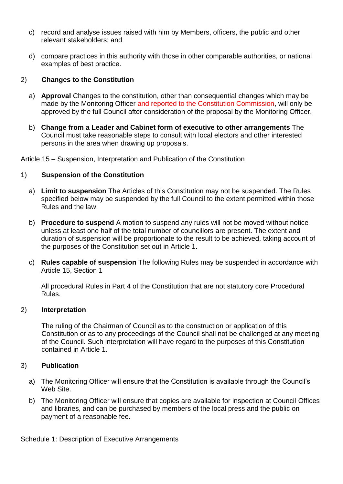- c) record and analyse issues raised with him by Members, officers, the public and other relevant stakeholders; and
- d) compare practices in this authority with those in other comparable authorities, or national examples of best practice.

# 2) **Changes to the Constitution**

- a) **Approval** Changes to the constitution, other than consequential changes which may be made by the Monitoring Officer and reported to the Constitution Commission, will only be approved by the full Council after consideration of the proposal by the Monitoring Officer.
- b) **Change from a Leader and Cabinet form of executive to other arrangements** The Council must take reasonable steps to consult with local electors and other interested persons in the area when drawing up proposals.

Article 15 – Suspension, Interpretation and Publication of the Constitution

# 1) **Suspension of the Constitution**

- a) **Limit to suspension** The Articles of this Constitution may not be suspended. The Rules specified below may be suspended by the full Council to the extent permitted within those Rules and the law.
- b) **Procedure to suspend** A motion to suspend any rules will not be moved without notice unless at least one half of the total number of councillors are present. The extent and duration of suspension will be proportionate to the result to be achieved, taking account of the purposes of the Constitution set out in Article 1.
- c) **Rules capable of suspension** The following Rules may be suspended in accordance with Article 15, Section 1

All procedural Rules in Part 4 of the Constitution that are not statutory core Procedural Rules.

# 2) **Interpretation**

The ruling of the Chairman of Council as to the construction or application of this Constitution or as to any proceedings of the Council shall not be challenged at any meeting of the Council. Such interpretation will have regard to the purposes of this Constitution contained in Article 1.

# 3) **Publication**

- a) The Monitoring Officer will ensure that the Constitution is available through the Council's Web Site.
- b) The Monitoring Officer will ensure that copies are available for inspection at Council Offices and libraries, and can be purchased by members of the local press and the public on payment of a reasonable fee.

Schedule 1: Description of Executive Arrangements